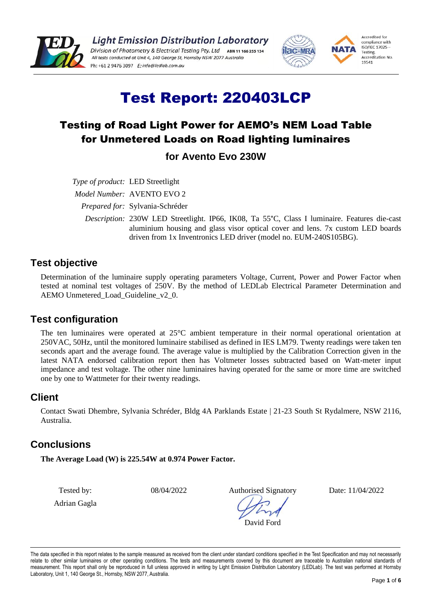

**Light Emission Distribution Laboratory** Division of Photometry & Electrical Testing Pty. Ltd ABN 11 166 255 134 All tests conducted at Unit 4, 140 George St, Hornsby NSW 2077 Australia 



# Test Report: 220403LCP

### Testing of Road Light Power for AEMO's NEM Load Table for Unmetered Loads on Road lighting luminaires

**for Avento Evo 230W**

*Type of product:* LED Streetlight *Model Number:* AVENTO EVO 2 *Prepared for:* Sylvania-Schréder *Description:* 230W LED Streetlight. IP66, IK08, Ta 55°C, Class I luminaire. Features die-cast aluminium housing and glass visor optical cover and lens. 7x custom LED boards driven from 1x Inventronics LED driver (model no. EUM-240S105BG).

#### **Test objective**

Determination of the luminaire supply operating parameters Voltage, Current, Power and Power Factor when tested at nominal test voltages of 250V. By the method of LEDLab Electrical Parameter Determination and AEMO Unmetered\_Load\_Guideline\_v2\_0.

#### **Test configuration**

The ten luminaires were operated at 25°C ambient temperature in their normal operational orientation at 250VAC, 50Hz, until the monitored luminaire stabilised as defined in IES LM79. Twenty readings were taken ten seconds apart and the average found. The average value is multiplied by the Calibration Correction given in the latest NATA endorsed calibration report then has Voltmeter losses subtracted based on Watt-meter input impedance and test voltage. The other nine luminaires having operated for the same or more time are switched one by one to Wattmeter for their twenty readings.

#### **Client**

Contact Swati Dhembre, Sylvania Schréder, Bldg 4A Parklands Estate | 21-23 South St Rydalmere, NSW 2116, Australia.

#### **Conclusions**

**The Average Load (W) is 225.54W at 0.974 Power Factor.**

Tested by:

Adrian Gagla

08/04/2022 Authorised Signatory

Date: 11/04/2022

David Ford

The data specified in this report relates to the sample measured as received from the client under standard conditions specified in the Test Specification and may not necessarily relate to other similar luminaires or other operating conditions. The tests and measurements covered by this document are traceable to Australian national standards of measurement. This report shall only be reproduced in full unless approved in writing by Light Emission Distribution Laboratory (LEDLab). The test was performed at Hornsby Laboratory, Unit 1, 140 George St., Hornsby, NSW 2077, Australia.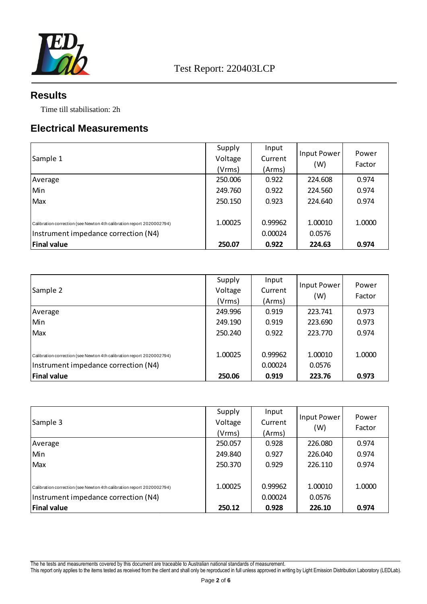

#### **Results**

Time till stabilisation: 2h

#### **Electrical Measurements**

| Sample 1                                                                                                      | Supply<br>Voltage<br>(Vrms) | Input<br>Current<br>(Arms) | <b>Input Power</b><br>(W) | Power<br>Factor |
|---------------------------------------------------------------------------------------------------------------|-----------------------------|----------------------------|---------------------------|-----------------|
| Average                                                                                                       | 250.006                     | 0.922                      | 224.608                   | 0.974           |
| Min                                                                                                           | 249.760                     | 0.922                      | 224.560                   | 0.974           |
| Max                                                                                                           | 250.150                     | 0.923                      | 224.640                   | 0.974           |
| Calibration correction (see Newton 4th calibration report 2020002794)<br>Instrument impedance correction (N4) | 1.00025                     | 0.99962<br>0.00024         | 1.00010<br>0.0576         | 1.0000          |
| <b>Final value</b>                                                                                            | 250.07                      | 0.922                      | 224.63                    | 0.974           |

| Sample 2                                                                                                      | Supply<br>Voltage<br>(Vrms) | Input<br>Current<br>(Arms) | Input Power<br>(W) | Power<br>Factor |
|---------------------------------------------------------------------------------------------------------------|-----------------------------|----------------------------|--------------------|-----------------|
| Average                                                                                                       | 249.996                     | 0.919                      | 223.741            | 0.973           |
| Min                                                                                                           | 249.190                     | 0.919                      | 223.690            | 0.973           |
| Max                                                                                                           | 250.240                     | 0.922                      | 223.770            | 0.974           |
| Calibration correction (see Newton 4th calibration report 2020002794)<br>Instrument impedance correction (N4) | 1.00025                     | 0.99962<br>0.00024         | 1.00010<br>0.0576  | 1.0000          |
| <b>Final value</b>                                                                                            | 250.06                      | 0.919                      | 223.76             | 0.973           |

| Sample 3                                                                                                      | Supply<br>Voltage<br>(Vrms) | Input<br>Current<br>(Arms) | Input Power<br>(W) | Power<br>Factor |
|---------------------------------------------------------------------------------------------------------------|-----------------------------|----------------------------|--------------------|-----------------|
| Average                                                                                                       | 250.057                     | 0.928                      | 226.080            | 0.974           |
| Min                                                                                                           | 249.840                     | 0.927                      | 226.040            | 0.974           |
| Max                                                                                                           | 250.370                     | 0.929                      | 226.110            | 0.974           |
| Calibration correction (see Newton 4th calibration report 2020002794)<br>Instrument impedance correction (N4) | 1.00025                     | 0.99962<br>0.00024         | 1.00010<br>0.0576  | 1.0000          |
| <b>Final value</b>                                                                                            | 250.12                      | 0.928                      | 226.10             | 0.974           |

The he tests and measurements covered by this document are traceable to Australian national standards of measurement.

This report only applies to the items tested as received from the client and shall only be reproduced in full unless approved in writing by Light Emission Distribution Laboratory (LEDLab).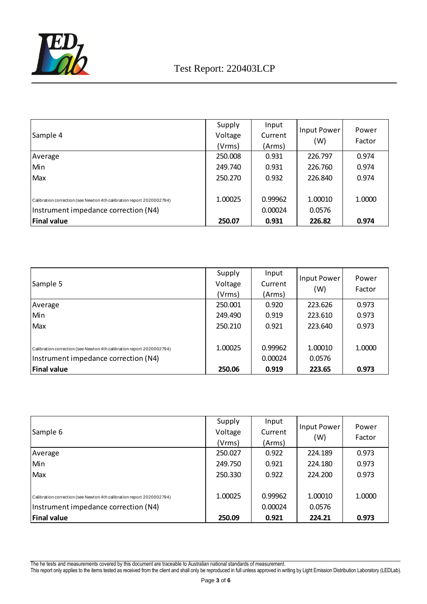

## Test Report: 220403LCP

| Sample 4                                                                                                      | Supply<br>Voltage<br>(Vrms) | Input<br>Current<br>(Arms) | Input Power<br>(W) | Power<br>Factor |
|---------------------------------------------------------------------------------------------------------------|-----------------------------|----------------------------|--------------------|-----------------|
| Average                                                                                                       | 250.008                     | 0.931                      | 226.797            | 0.974           |
| Min                                                                                                           | 249.740                     | 0.931                      | 226.760            | 0.974           |
| Max                                                                                                           | 250.270                     | 0.932                      | 226.840            | 0.974           |
| Calibration correction (see Newton 4th calibration report 2020002794)<br>Instrument impedance correction (N4) | 1.00025                     | 0.99962<br>0.00024         | 1.00010<br>0.0576  | 1.0000          |
| <b>Final value</b>                                                                                            | 250.07                      | 0.931                      | 226.82             | 0.974           |

| Sample 5                                                                                                      | Supply<br>Voltage<br>(Vrms) | Input<br>Current<br>(Arms) | Input Power<br>(W) | Power<br>Factor |
|---------------------------------------------------------------------------------------------------------------|-----------------------------|----------------------------|--------------------|-----------------|
| Average                                                                                                       | 250.001                     | 0.920                      | 223.626            | 0.973           |
| Min                                                                                                           | 249.490                     | 0.919                      | 223.610            | 0.973           |
| Max                                                                                                           | 250.210                     | 0.921                      | 223.640            | 0.973           |
| Calibration correction (see Newton 4th calibration report 2020002794)<br>Instrument impedance correction (N4) | 1.00025                     | 0.99962<br>0.00024         | 1.00010<br>0.0576  | 1.0000          |
| <b>Final value</b>                                                                                            | 250.06                      | 0.919                      | 223.65             | 0.973           |

| Sample 6                                                                                                      | Supply<br>Voltage<br>(Vrms) | Input<br>Current<br>(Arms) | Input Power<br>(W) | Power<br>Factor |
|---------------------------------------------------------------------------------------------------------------|-----------------------------|----------------------------|--------------------|-----------------|
| Average                                                                                                       | 250.027                     | 0.922                      | 224.189            | 0.973           |
| Min                                                                                                           | 249.750                     | 0.921                      | 224.180            | 0.973           |
| Max                                                                                                           | 250.330                     | 0.922                      | 224.200            | 0.973           |
| Calibration correction (see Newton 4th calibration report 2020002794)<br>Instrument impedance correction (N4) | 1.00025                     | 0.99962<br>0.00024         | 1.00010<br>0.0576  | 1.0000          |
| <b>Final value</b>                                                                                            | 250.09                      | 0.921                      | 224.21             | 0.973           |

The he tests and measurements covered by this document are traceable to Australian national standards of measurement.

This report only applies to the items tested as received from the client and shall only be reproduced in full unless approved in writing by Light Emission Distribution Laboratory (LEDLab).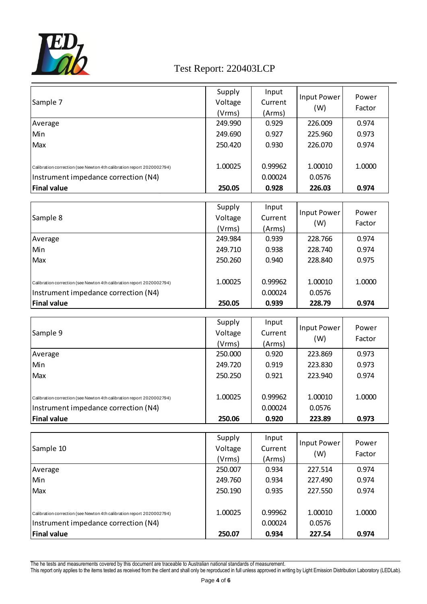

## Test Report: 220403LCP

|                                                                                                               | Supply  | Input   | Input Power | Power  |
|---------------------------------------------------------------------------------------------------------------|---------|---------|-------------|--------|
| Sample 7                                                                                                      | Voltage | Current |             |        |
|                                                                                                               | (Vrms)  | (Arms)  | (W)         | Factor |
| Average                                                                                                       | 249.990 | 0.929   | 226.009     | 0.974  |
| Min                                                                                                           | 249.690 | 0.927   | 225.960     | 0.973  |
| Max                                                                                                           | 250.420 | 0.930   | 226.070     | 0.974  |
|                                                                                                               | 1.00025 | 0.99962 | 1.00010     | 1.0000 |
| Calibration correction (see Newton 4th calibration report 2020002794)<br>Instrument impedance correction (N4) |         | 0.00024 | 0.0576      |        |
| <b>Final value</b>                                                                                            | 250.05  | 0.928   | 226.03      | 0.974  |
|                                                                                                               |         |         |             |        |
|                                                                                                               | Supply  | Input   |             |        |
| Sample 8                                                                                                      | Voltage | Current | Input Power | Power  |
|                                                                                                               | (Vrms)  | (Arms)  | (W)         | Factor |
| Average                                                                                                       | 249.984 | 0.939   | 228.766     | 0.974  |
| Min                                                                                                           | 249.710 | 0.938   | 228.740     | 0.974  |
| Max                                                                                                           | 250.260 | 0.940   | 228.840     | 0.975  |
| Calibration correction (see Newton 4th calibration report 2020002794)                                         | 1.00025 | 0.99962 | 1.00010     | 1.0000 |
| Instrument impedance correction (N4)                                                                          |         | 0.00024 | 0.0576      |        |
| <b>Final value</b>                                                                                            | 250.05  | 0.939   | 228.79      | 0.974  |
|                                                                                                               |         |         |             |        |
|                                                                                                               | Supply  | Input   | Input Power | Power  |
| Sample 9                                                                                                      | Voltage | Current | (W)         | Factor |
|                                                                                                               | (Vrms)  | (Arms)  |             |        |
| Average                                                                                                       | 250.000 | 0.920   | 223.869     | 0.973  |
| Min                                                                                                           | 249.720 | 0.919   | 223.830     | 0.973  |
| Max                                                                                                           | 250.250 | 0.921   | 223.940     | 0.974  |
| Calibration correction (see Newton 4th calibration report 2020002794)                                         | 1.00025 | 0.99962 | 1.00010     | 1.0000 |
| Instrument impedance correction (N4)                                                                          |         | 0.00024 | 0.0576      |        |
| <b>Final value</b>                                                                                            | 250.06  | 0.920   | 223.89      | 0.973  |
|                                                                                                               |         |         |             |        |
|                                                                                                               | Supply  | Input   | Input Power | Power  |
| Sample 10                                                                                                     | Voltage | Current | (W)         | Factor |
|                                                                                                               | (Vrms)  | (Arms)  |             |        |
| Average                                                                                                       | 250.007 | 0.934   | 227.514     | 0.974  |
| Min                                                                                                           | 249.760 | 0.934   | 227.490     | 0.974  |
| Max                                                                                                           | 250.190 | 0.935   | 227.550     | 0.974  |
| Calibration correction (see Newton 4th calibration report 2020002794)                                         | 1.00025 | 0.99962 | 1.00010     | 1.0000 |
| Instrument impedance correction (N4)                                                                          |         | 0.00024 | 0.0576      |        |
| <b>Final value</b>                                                                                            | 250.07  | 0.934   | 227.54      | 0.974  |

The he tests and measurements covered by this document are traceable to Australian national standards of measurement.

This report only applies to the items tested as received from the client and shall only be reproduced in full unless approved in writing by Light Emission Distribution Laboratory (LEDLab).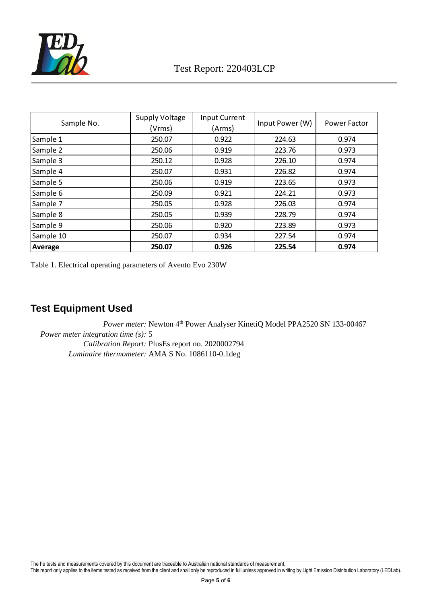

| Sample No. | Supply Voltage<br>(Vrms) | <b>Input Current</b><br>(Arms) | Input Power (W) | Power Factor |
|------------|--------------------------|--------------------------------|-----------------|--------------|
| Sample 1   | 250.07                   | 0.922                          | 224.63          | 0.974        |
| Sample 2   | 250.06                   | 0.919                          | 223.76          | 0.973        |
| Sample 3   | 250.12                   | 0.928                          | 226.10          | 0.974        |
| Sample 4   | 250.07                   | 0.931                          | 226.82          | 0.974        |
| Sample 5   | 250.06                   | 0.919                          | 223.65          | 0.973        |
| Sample 6   | 250.09                   | 0.921                          | 224.21          | 0.973        |
| Sample 7   | 250.05                   | 0.928                          | 226.03          | 0.974        |
| Sample 8   | 250.05                   | 0.939                          | 228.79          | 0.974        |
| Sample 9   | 250.06                   | 0.920                          | 223.89          | 0.973        |
| Sample 10  | 250.07                   | 0.934                          | 227.54          | 0.974        |
| Average    | 250.07                   | 0.926                          | 225.54          | 0.974        |

Table 1. Electrical operating parameters of Avento Evo 230W

### **Test Equipment Used**

*Power meter:* Newton 4<sup>th</sup> Power Analyser KinetiQ Model PPA2520 SN 133-00467 *Power meter integration time (s):* 5 *Calibration Report:* PlusEs report no. 2020002794 *Luminaire thermometer:* AMA S No. 1086110-0.1deg

This report only applies to the items tested as received from the client and shall only be reproduced in full unless approved in writing by Light Emission Distribution Laboratory (LEDLab).